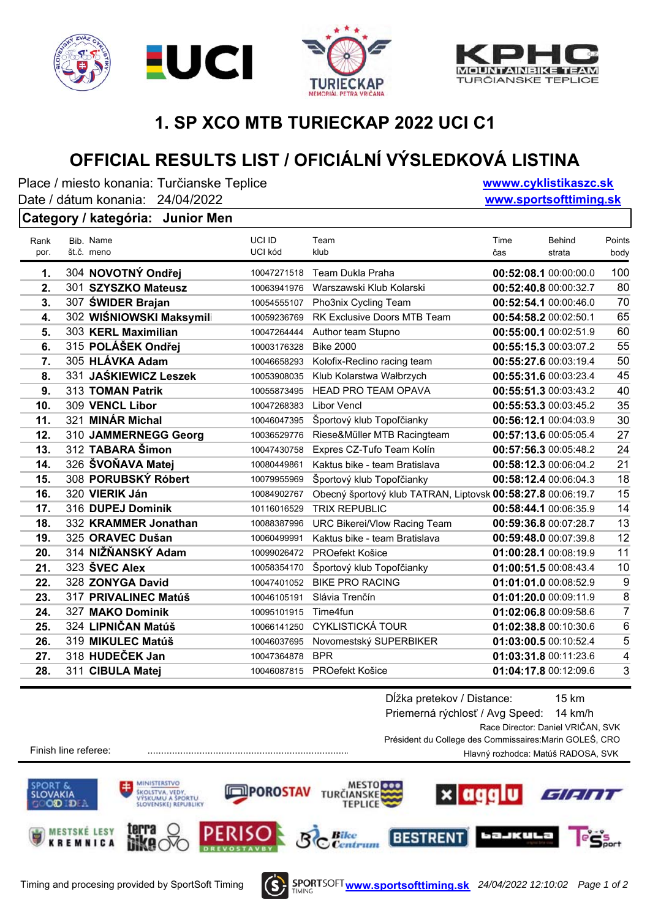







## **1. SP XCO MTB TURIECKAP 2022 UCI C1**

# **OFFICIAL RESULTS LIST / OFICIÁLNÍ VÝSLEDKOVÁ LISTINA**

Place / miesto konania: Turčianske Teplice Date / dátum konania: 24/04/2022

**wwww.cyklistikaszc.sk www.sportsofttiming.sk**

#### **Category / kategória: Junior Men**

| Rank | Bib. Name                | UCI ID      | Team                                                        | Time                  | <b>Behind</b> | Points         |
|------|--------------------------|-------------|-------------------------------------------------------------|-----------------------|---------------|----------------|
| por. | št.č. meno               | UCI kód     | klub                                                        | čas                   | strata        | body           |
| 1.   | 304 NOVOTNÝ Ondřej       | 10047271518 | Team Dukla Praha                                            | 00:52:08.1 00:00:00.0 |               | 100            |
| 2.   | 301 SZYSZKO Mateusz      | 10063941976 | Warszawski Klub Kolarski                                    | 00:52:40.8 00:00:32.7 |               | 80             |
| 3.   | 307 ŚWIDER Brajan        | 10054555107 | Pho3nix Cycling Team                                        | 00:52:54.1 00:00:46.0 |               | 70             |
| 4.   | 302 WIŚNIOWSKI Maksymili | 10059236769 | <b>RK Exclusive Doors MTB Team</b>                          | 00:54:58.2 00:02:50.1 |               | 65             |
| 5.   | 303 KERL Maximilian      | 10047264444 | Author team Stupno                                          | 00:55:00.1 00:02:51.9 |               | 60             |
| 6.   | 315 POLÁŠEK Ondřej       | 10003176328 | <b>Bike 2000</b>                                            | 00:55:15.3 00:03:07.2 |               | 55             |
| 7.   | 305 HLÁVKA Adam          | 10046658293 | Kolofix-Reclino racing team                                 | 00:55:27.6 00:03:19.4 |               | 50             |
| 8.   | 331 JAŚKIEWICZ Leszek    | 10053908035 | Klub Kolarstwa Wałbrzych                                    | 00:55:31.6 00:03:23.4 |               | 45             |
| 9.   | 313 TOMAN Patrik         | 10055873495 | <b>HEAD PRO TEAM OPAVA</b>                                  | 00:55:51.3 00:03:43.2 |               | 40             |
| 10.  | 309 VENCL Libor          | 10047268383 | <b>Libor Vencl</b>                                          | 00:55:53.3 00:03:45.2 |               | 35             |
| 11.  | 321 MINÁR Michal         | 10046047395 | Športový klub Topoľčianky                                   | 00:56:12.1 00:04:03.9 |               | 30             |
| 12.  | 310 JAMMERNEGG Georg     | 10036529776 | Riese&Müller MTB Racingteam                                 | 00:57:13.6 00:05:05.4 |               | 27             |
| 13.  | 312 TABARA Šimon         | 10047430758 | Expres CZ-Tufo Team Kolín                                   | 00:57:56.3 00:05:48.2 |               | 24             |
| 14.  | 326 ŠVOŇAVA Matej        | 10080449861 | Kaktus bike - team Bratislava                               | 00:58:12.3 00:06:04.2 |               | 21             |
| 15.  | 308 PORUBSKÝ Róbert      | 10079955969 | Športový klub Topoľčianky                                   | 00:58:12.4 00:06:04.3 |               | 18             |
| 16.  | 320 VIERIK Ján           | 10084902767 | Obecný športový klub TATRAN, Liptovsk 00:58:27.8 00:06:19.7 |                       |               | 15             |
| 17.  | 316 DUPEJ Dominik        | 10116016529 | <b>TRIX REPUBLIC</b>                                        | 00:58:44.1 00:06:35.9 |               | 14             |
| 18.  | 332 KRAMMER Jonathan     | 10088387996 | URC Bikerei/Vlow Racing Team                                | 00:59:36.8 00:07:28.7 |               | 13             |
| 19.  | 325 ORAVEC Dušan         | 10060499991 | Kaktus bike - team Bratislava                               | 00:59:48.0 00:07:39.8 |               | 12             |
| 20.  | 314 NIŽŇANSKÝ Adam       | 10099026472 | PROefekt Košice                                             | 01:00:28.1 00:08:19.9 |               | 11             |
| 21.  | 323 ŠVEC Alex            | 10058354170 | Športový klub Topoľčianky                                   | 01:00:51.5 00:08:43.4 |               | 10             |
| 22.  | 328 ZONYGA David         | 10047401052 | <b>BIKE PRO RACING</b>                                      | 01:01:01.0 00:08:52.9 |               | 9              |
| 23.  | 317 PRIVALINEC Matúš     | 10046105191 | Slávia Trenčín                                              | 01:01:20.0 00:09:11.9 |               | 8              |
| 24.  | 327 MAKO Dominik         | 10095101915 | Time4fun                                                    | 01:02:06.8 00:09:58.6 |               | $\overline{7}$ |
| 25.  | 324 LIPNIČAN Matúš       | 10066141250 | <b>CYKLISTICKÁ TOUR</b>                                     | 01:02:38.8 00:10:30.6 |               | 6              |
| 26.  | 319 MIKULEC Matúš        | 10046037695 | Novomestský SUPERBIKER                                      | 01:03:00.5 00:10:52.4 |               | 5              |
| 27.  | 318 HUDEČEK Jan          | 10047364878 | <b>BPR</b>                                                  | 01:03:31.8 00:11:23.6 |               | 4              |
| 28.  | 311 CIBULA Matej         | 10046087815 | PROefekt Košice                                             | 01:04:17.8 00:12:09.6 |               | 3              |
|      |                          |             |                                                             |                       |               |                |

Dĺžka pretekov / Distance: 15 km Priemerná rýchlosť / Avg Speed: 14 km/h Race Director: Daniel VRIČAN, SVK Président du College des Commissaires:Marin GOLEŠ, CRO Hlavný rozhodca: Matúš RADOSA, SVK

Finish line referee: